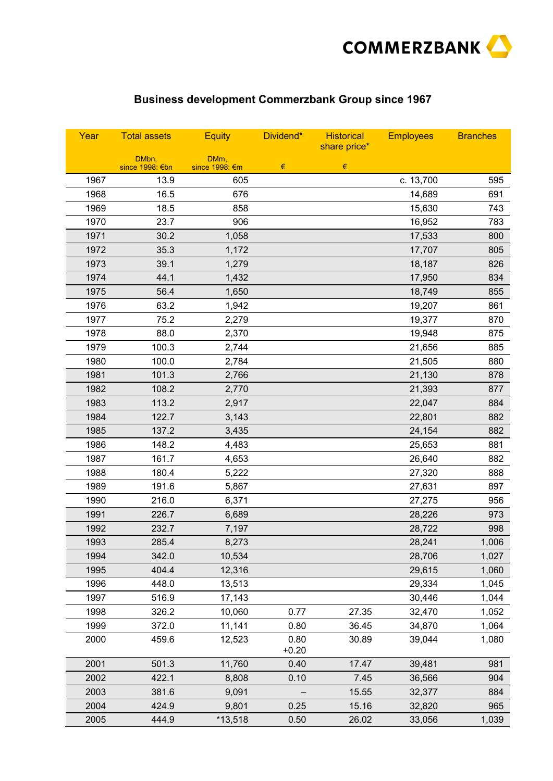

## **Business development Commerzbank Group since 1967**

| Year | <b>Total assets</b>      | <b>Equity</b>          | Dividend*       | <b>Historical</b><br>share price* | <b>Employees</b> | <b>Branches</b> |
|------|--------------------------|------------------------|-----------------|-----------------------------------|------------------|-----------------|
|      | DMbn,<br>since 1998: €bn | DMm,<br>since 1998: €m | $\in$           | $\in$                             |                  |                 |
| 1967 | 13.9                     | 605                    |                 |                                   | c. 13,700        | 595             |
| 1968 | 16.5                     | 676                    |                 |                                   | 14,689           | 691             |
| 1969 | 18.5                     | 858                    |                 |                                   | 15,630           | 743             |
| 1970 | 23.7                     | 906                    |                 |                                   | 16,952           | 783             |
| 1971 | 30.2                     | 1,058                  |                 |                                   | 17,533           | 800             |
| 1972 | 35.3                     | 1,172                  |                 |                                   | 17,707           | 805             |
| 1973 | 39.1                     | 1,279                  |                 |                                   | 18,187           | 826             |
| 1974 | 44.1                     | 1,432                  |                 |                                   | 17,950           | 834             |
| 1975 | 56.4                     | 1,650                  |                 |                                   | 18,749           | 855             |
| 1976 | 63.2                     | 1,942                  |                 |                                   | 19,207           | 861             |
| 1977 | 75.2                     | 2,279                  |                 |                                   | 19,377           | 870             |
| 1978 | 88.0                     | 2,370                  |                 |                                   | 19,948           | 875             |
| 1979 | 100.3                    | 2,744                  |                 |                                   | 21,656           | 885             |
| 1980 | 100.0                    | 2,784                  |                 |                                   | 21,505           | 880             |
| 1981 | 101.3                    | 2,766                  |                 |                                   | 21,130           | 878             |
| 1982 | 108.2                    | 2,770                  |                 |                                   | 21,393           | 877             |
| 1983 | 113.2                    | 2,917                  |                 |                                   | 22,047           | 884             |
| 1984 | 122.7                    | 3,143                  |                 |                                   | 22,801           | 882             |
| 1985 | 137.2                    | 3,435                  |                 |                                   | 24,154           | 882             |
| 1986 | 148.2                    | 4,483                  |                 |                                   | 25,653           | 881             |
| 1987 | 161.7                    | 4,653                  |                 |                                   | 26,640           | 882             |
| 1988 | 180.4                    | 5,222                  |                 |                                   | 27,320           | 888             |
| 1989 | 191.6                    | 5,867                  |                 |                                   | 27,631           | 897             |
| 1990 | 216.0                    | 6,371                  |                 |                                   | 27,275           | 956             |
| 1991 | 226.7                    | 6,689                  |                 |                                   | 28,226           | 973             |
| 1992 | 232.7                    | 7,197                  |                 |                                   | 28,722           | 998             |
| 1993 | 285.4                    | 8,273                  |                 |                                   | 28,241           | 1,006           |
| 1994 | 342.0                    | 10,534                 |                 |                                   | 28,706           | 1,027           |
| 1995 | 404.4                    | 12,316                 |                 |                                   | 29,615           | 1,060           |
| 1996 | 448.0                    | 13,513                 |                 |                                   | 29,334           | 1,045           |
| 1997 | 516.9                    | 17,143                 |                 |                                   | 30,446           | 1,044           |
| 1998 | 326.2                    | 10,060                 | 0.77            | 27.35                             | 32,470           | 1,052           |
| 1999 | 372.0                    | 11,141                 | 0.80            | 36.45                             | 34,870           | 1,064           |
| 2000 | 459.6                    | 12,523                 | 0.80<br>$+0.20$ | 30.89                             | 39,044           | 1,080           |
| 2001 | 501.3                    | 11,760                 | 0.40            | 17.47                             | 39,481           | 981             |
| 2002 | 422.1                    | 8,808                  | 0.10            | 7.45                              | 36,566           | 904             |
| 2003 | 381.6                    | 9,091                  |                 | 15.55                             | 32,377           | 884             |
| 2004 | 424.9                    | 9,801                  | 0.25            | 15.16                             | 32,820           | 965             |
| 2005 | 444.9                    | *13,518                | 0.50            | 26.02                             | 33,056           | 1,039           |